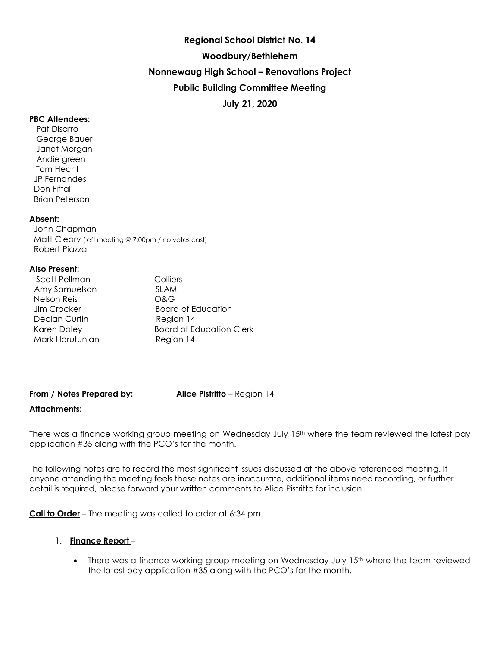# **Regional School District No. 14 Woodbury/Bethlehem Nonnewaug High School – Renovations Project Public Building Committee Meeting July 21, 2020**

### **PBC Attendees:**

 Pat Disarro George Bauer Janet Morgan Andie green Tom Hecht JP Fernandes Don Fiftal Brian Peterson

### **Absent:**

 John Chapman Matt Cleary (left meeting @ 7:00pm / no votes cast) Robert Piazza

### **Also Present:**

| Scott Pellman      | Colliers                        |
|--------------------|---------------------------------|
| Amy Samuelson      | <b>SLAM</b>                     |
| <b>Nelson Reis</b> | O&G                             |
| Jim Crocker        | Board of Education              |
| Declan Curtin      | Region 14                       |
| <b>Karen Daley</b> | <b>Board of Education Clerk</b> |
| Mark Harutunian    | Region 14                       |

### **From / Notes Prepared by: Alice Pistritto** – Region 14

### **Attachments:**

There was a finance working group meeting on Wednesday July 15<sup>th</sup> where the team reviewed the latest pay application #35 along with the PCO's for the month.

The following notes are to record the most significant issues discussed at the above referenced meeting. If anyone attending the meeting feels these notes are inaccurate, additional items need recording, or further detail is required, please forward your written comments to Alice Pistritto for inclusion.

**Call to Order** – The meeting was called to order at 6:34 pm.

### 1. **Finance Report** –

• There was a finance working group meeting on Wednesday July 15<sup>th</sup> where the team reviewed the latest pay application #35 along with the PCO's for the month.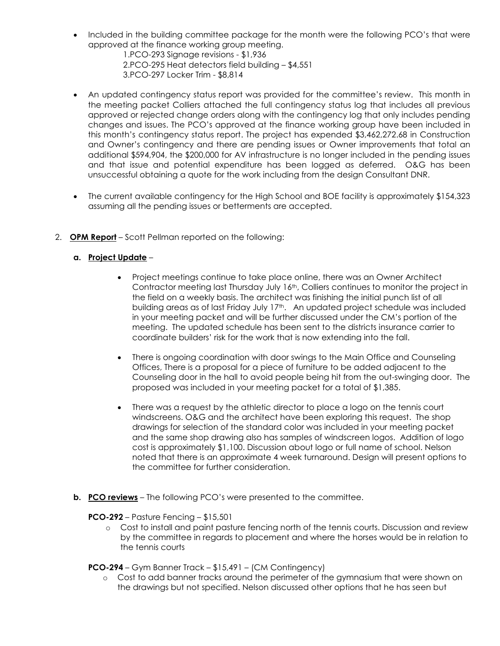• Included in the building committee package for the month were the following PCO's that were approved at the finance working group meeting.

 1.PCO-293 Signage revisions - \$1,936 2.PCO-295 Heat detectors field building – \$4,551 3.PCO-297 Locker Trim - \$8,814

- An updated contingency status report was provided for the committee's review. This month in the meeting packet Colliers attached the full contingency status log that includes all previous approved or rejected change orders along with the contingency log that only includes pending changes and issues. The PCO's approved at the finance working group have been included in this month's contingency status report. The project has expended \$3,462,272.68 in Construction and Owner's contingency and there are pending issues or Owner improvements that total an additional \$594,904, the \$200,000 for AV infrastructure is no longer included in the pending issues and that issue and potential expenditure has been logged as deferred. O&G has been unsuccessful obtaining a quote for the work including from the design Consultant DNR.
- The current available contingency for the High School and BOE facility is approximately \$154,323 assuming all the pending issues or betterments are accepted.
- 2. **OPM Report** Scott Pellman reported on the following:

# **a. Project Update** –

- Project meetings continue to take place online, there was an Owner Architect Contractor meeting last Thursday July 16<sup>th</sup>, Colliers continues to monitor the project in the field on a weekly basis. The architect was finishing the initial punch list of all building areas as of last Friday July 17<sup>th</sup>. An updated project schedule was included in your meeting packet and will be further discussed under the CM's portion of the meeting. The updated schedule has been sent to the districts insurance carrier to coordinate builders' risk for the work that is now extending into the fall.
- There is ongoing coordination with door swings to the Main Office and Counseling Offices, There is a proposal for a piece of furniture to be added adjacent to the Counseling door in the hall to avoid people being hit from the out-swinging door. The proposed was included in your meeting packet for a total of \$1,385.
- There was a request by the athletic director to place a logo on the tennis court windscreens. O&G and the architect have been exploring this request. The shop drawings for selection of the standard color was included in your meeting packet and the same shop drawing also has samples of windscreen logos. Addition of logo cost is approximately \$1,100. Discussion about logo or full name of school. Nelson noted that there is an approximate 4 week turnaround. Design will present options to the committee for further consideration.
- **b. PCO reviews** The following PCO's were presented to the committee.

**PCO-292** – Pasture Fencing – \$15,501

o Cost to install and paint pasture fencing north of the tennis courts. Discussion and review by the committee in regards to placement and where the horses would be in relation to the tennis courts

**PCO-294** – Gym Banner Track – \$15,491 – (CM Contingency)

o Cost to add banner tracks around the perimeter of the gymnasium that were shown on the drawings but not specified. Nelson discussed other options that he has seen but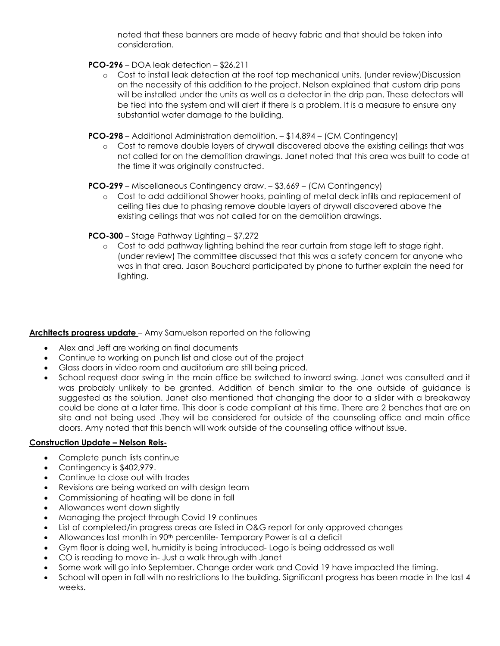noted that these banners are made of heavy fabric and that should be taken into consideration.

## **PCO-296** – DOA leak detection – \$26,211

- o Cost to install leak detection at the roof top mechanical units. (under review)Discussion on the necessity of this addition to the project. Nelson explained that custom drip pans will be installed under the units as well as a detector in the drip pan. These detectors will be tied into the system and will alert if there is a problem. It is a measure to ensure any substantial water damage to the building.
- **PCO-298**  Additional Administration demolition. \$14,894 (CM Contingency)
	- o Cost to remove double layers of drywall discovered above the existing ceilings that was not called for on the demolition drawings. Janet noted that this area was built to code at the time it was originally constructed.

**PCO-299** – Miscellaneous Contingency draw. – \$3,669 – (CM Contingency)

o Cost to add additional Shower hooks, painting of metal deck infills and replacement of ceiling tiles due to phasing remove double layers of drywall discovered above the existing ceilings that was not called for on the demolition drawings.

## **PCO-300** – Stage Pathway Lighting – \$7,272

o Cost to add pathway lighting behind the rear curtain from stage left to stage right. (under review) The committee discussed that this was a safety concern for anyone who was in that area. Jason Bouchard participated by phone to further explain the need for lighting.

# **Architects progress update** – Amy Samuelson reported on the following

- Alex and Jeff are working on final documents
- Continue to working on punch list and close out of the project
- Glass doors in video room and auditorium are still being priced.
- School request door swing in the main office be switched to inward swing. Janet was consulted and it was probably unlikely to be granted. Addition of bench similar to the one outside of guidance is suggested as the solution. Janet also mentioned that changing the door to a slider with a breakaway could be done at a later time. This door is code compliant at this time. There are 2 benches that are on site and not being used .They will be considered for outside of the counseling office and main office doors. Amy noted that this bench will work outside of the counseling office without issue.

# **Construction Update – Nelson Reis-**

- Complete punch lists continue
- Contingency is \$402,979.
- Continue to close out with trades
- Revisions are being worked on with design team
- Commissioning of heating will be done in fall
- Allowances went down slightly
- Managing the project through Covid 19 continues
- List of completed/in progress areas are listed in O&G report for only approved changes
- Allowances last month in 90<sup>th</sup> percentile- Temporary Power is at a deficit
- Gym floor is doing well, humidity is being introduced- Logo is being addressed as well
- CO is reading to move in- Just a walk through with Janet
- Some work will go into September. Change order work and Covid 19 have impacted the timing.
- School will open in fall with no restrictions to the building. Significant progress has been made in the last 4 weeks.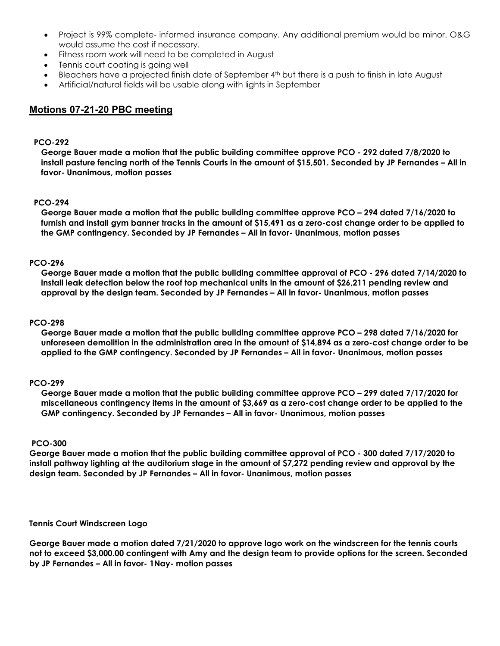- Project is 99% complete- informed insurance company. Any additional premium would be minor. O&G would assume the cost if necessary.
- Fitness room work will need to be completed in August
- Tennis court coating is going well
- Bleachers have a projected finish date of September 4<sup>th</sup> but there is a push to finish in late August
- Artificial/natural fields will be usable along with lights in September

# **Motions 07-21-20 PBC meeting**

### **PCO-292**

**George Bauer made a motion that the public building committee approve PCO - 292 dated 7/8/2020 to install pasture fencing north of the Tennis Courts in the amount of \$15,501. Seconded by JP Fernandes – All in favor- Unanimous, motion passes**

### **PCO-294**

**George Bauer made a motion that the public building committee approve PCO – 294 dated 7/16/2020 to furnish and install gym banner tracks in the amount of \$15,491 as a zero-cost change order to be applied to the GMP contingency. Seconded by JP Fernandes – All in favor- Unanimous, motion passes**

### **PCO-296**

**George Bauer made a motion that the public building committee approval of PCO - 296 dated 7/14/2020 to install leak detection below the roof top mechanical units in the amount of \$26,211 pending review and approval by the design team. Seconded by JP Fernandes – All in favor- Unanimous, motion passes**

### **PCO-298**

**George Bauer made a motion that the public building committee approve PCO – 298 dated 7/16/2020 for unforeseen demolition in the administration area in the amount of \$14,894 as a zero-cost change order to be applied to the GMP contingency. Seconded by JP Fernandes – All in favor- Unanimous, motion passes**

### **PCO-299**

**George Bauer made a motion that the public building committee approve PCO – 299 dated 7/17/2020 for miscellaneous contingency items in the amount of \$3,669 as a zero-cost change order to be applied to the GMP contingency. Seconded by JP Fernandes – All in favor- Unanimous, motion passes**

### **PCO-300**

**George Bauer made a motion that the public building committee approval of PCO - 300 dated 7/17/2020 to install pathway lighting at the auditorium stage in the amount of \$7,272 pending review and approval by the design team. Seconded by JP Fernandes – All in favor- Unanimous, motion passes**

### **Tennis Court Windscreen Logo**

**George Bauer made a motion dated 7/21/2020 to approve logo work on the windscreen for the tennis courts not to exceed \$3,000.00 contingent with Amy and the design team to provide options for the screen. Seconded by JP Fernandes – All in favor- 1Nay- motion passes**